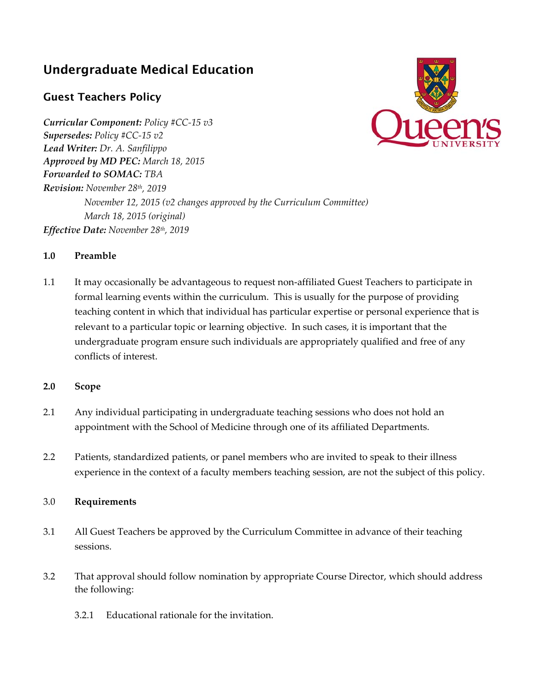## Undergraduate Medical Education

## Guest Teachers Policy

*Curricular Component: Policy #CC‐15 v3 Supersedes: Policy #CC‐15 v2 Lead Writer: Dr. A. Sanfilippo Approved by MD PEC: March 18, 2015 Forwarded to SOMAC: TBA Revision: November 28th, 2019 November 12, 2015 (v2 changes approved by the Curriculum Committee) March 18, 2015 (original) Effective Date: November 28th, 2019*



## **1.0 Preamble**

- 1.1 It may occasionally be advantageous to request non-affiliated Guest Teachers to participate in formal learning events within the curriculum. This is usually for the purpose of providing teaching content in which that individual has particular expertise or personal experience that is relevant to a particular topic or learning objective. In such cases, it is important that the undergraduate program ensure such individuals are appropriately qualified and free of any conflicts of interest.
- **2.0 Scope**
- 2.1 Any individual participating in undergraduate teaching sessions who does not hold an appointment with the School of Medicine through one of its affiliated Departments.
- 2.2 Patients, standardized patients, or panel members who are invited to speak to their illness experience in the context of a faculty members teaching session, are not the subject of this policy.

## 3.0 **Requirements**

- 3.1 All Guest Teachers be approved by the Curriculum Committee in advance of their teaching sessions.
- 3.2 That approval should follow nomination by appropriate Course Director, which should address the following:
	- 3.2.1 Educational rationale for the invitation.